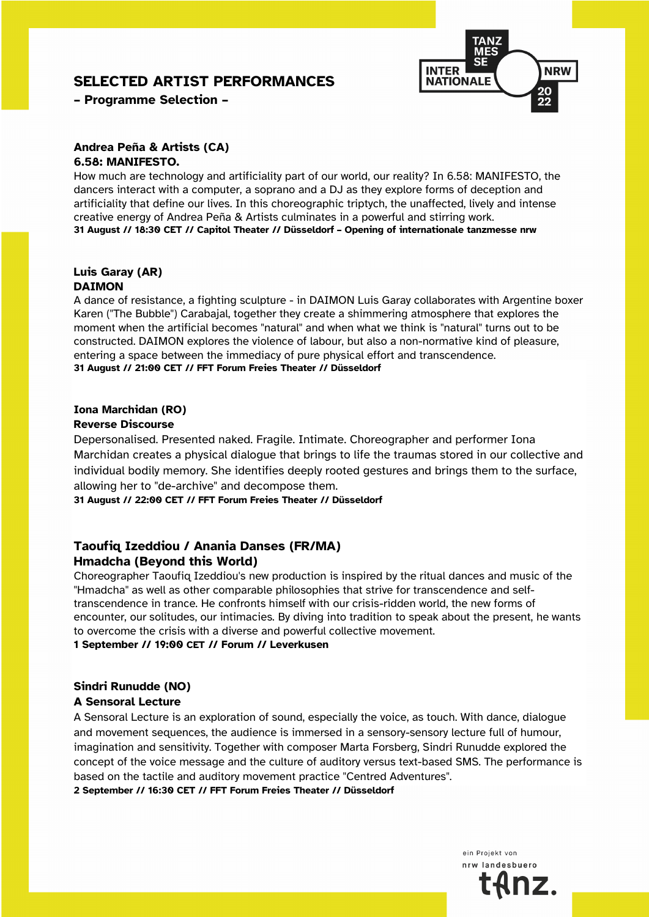# **SELECTED ARTIST PERFORMANCES**



**– Programme Selection –**

#### **Andrea Peña & Artists (CA) 6.58: MANIFESTO.**

How much are technology and artificiality part of our world, our reality? In 6.58: MANIFESTO, the dancers interact with a computer, a soprano and a DJ as they explore forms of deception and artificiality that define our lives. In this choreographic triptych, the unaffected, lively and intense creative energy of Andrea Peña & Artists culminates in a powerful and stirring work. **31 August // 18:30 CET // Capitol Theater // Düsseldorf – Opening of internationale tanzmesse nrw**

#### **Luis Garay (AR) DAIMON**

A dance of resistance, a fighting sculpture - in DAIMON Luis Garay collaborates with Argentine boxer Karen ("The Bubble") Carabajal, together they create a shimmering atmosphere that explores the moment when the artificial becomes "natural" and when what we think is "natural" turns out to be constructed. DAIMON explores the violence of labour, but also a non-normative kind of pleasure, entering a space between the immediacy of pure physical effort and transcendence. **31 August // 21:00 CET // FFT Forum Freies Theater // Düsseldorf**

### **Iona Marchidan (RO)**

#### **Reverse Discourse**

Depersonalised. Presented naked. Fragile. Intimate. Choreographer and performer Iona Marchidan creates a physical dialogue that brings to life the traumas stored in our collective and individual bodily memory. She identifies deeply rooted gestures and brings them to the surface, allowing her to "de-archive" and decompose them.

**31 August // 22:00 CET // FFT Forum Freies Theater // Düsseldorf**

## **Taoufiq Izeddiou / Anania Danses (FR/MA) Hmadcha (Beyond this World)**

Choreographer Taoufiq Izeddiou's new production is inspired by the ritual dances and music of the "Hmadcha" as well as other comparable philosophies that strive for transcendence and selftranscendence in trance. He confronts himself with our crisis-ridden world, the new forms of encounter, our solitudes, our intimacies. By diving into tradition to speak about the present, he wants to overcome the crisis with a diverse and powerful collective movement.

### **1 September // 19:00 CET // Forum // Leverkusen**

## **Sindri Runudde (NO)**

### **A Sensoral Lecture**

A Sensoral Lecture is an exploration of sound, especially the voice, as touch. With dance, dialogue and movement sequences, the audience is immersed in a sensory-sensory lecture full of humour, imagination and sensitivity. Together with composer Marta Forsberg, Sindri Runudde explored the concept of the voice message and the culture of auditory versus text-based SMS. The performance is based on the tactile and auditory movement practice "Centred Adventures".

**2 September // 16:30 CET // FFT Forum Freies Theater // Düsseldorf**

ein Projekt von nrw landesbuerd